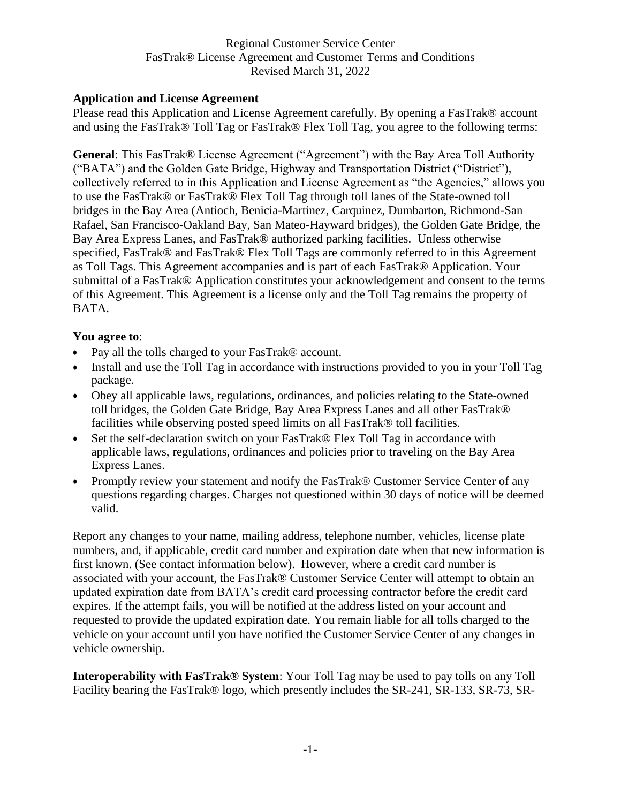# **Application and License Agreement**

Please read this Application and License Agreement carefully. By opening a FasTrak® account and using the FasTrak® Toll Tag or FasTrak® Flex Toll Tag, you agree to the following terms:

**General**: This FasTrak® License Agreement ("Agreement") with the Bay Area Toll Authority ("BATA") and the Golden Gate Bridge, Highway and Transportation District ("District"), collectively referred to in this Application and License Agreement as "the Agencies," allows you to use the FasTrak® or FasTrak® Flex Toll Tag through toll lanes of the State-owned toll bridges in the Bay Area (Antioch, Benicia-Martinez, Carquinez, Dumbarton, Richmond-San Rafael, San Francisco-Oakland Bay, San Mateo-Hayward bridges), the Golden Gate Bridge, the Bay Area Express Lanes, and FasTrak® authorized parking facilities. Unless otherwise specified, FasTrak<sup>®</sup> and FasTrak<sup>®</sup> Flex Toll Tags are commonly referred to in this Agreement as Toll Tags. This Agreement accompanies and is part of each FasTrak® Application. Your submittal of a FasTrak® Application constitutes your acknowledgement and consent to the terms of this Agreement. This Agreement is a license only and the Toll Tag remains the property of BATA.

#### **You agree to**:

- Pay all the tolls charged to your FasTrak® account.
- Install and use the Toll Tag in accordance with instructions provided to you in your Toll Tag package.
- Obey all applicable laws, regulations, ordinances, and policies relating to the State-owned toll bridges, the Golden Gate Bridge, Bay Area Express Lanes and all other FasTrak® facilities while observing posted speed limits on all FasTrak® toll facilities.
- Set the self-declaration switch on your FasTrak® Flex Toll Tag in accordance with applicable laws, regulations, ordinances and policies prior to traveling on the Bay Area Express Lanes.
- Promptly review your statement and notify the FasTrak® Customer Service Center of any questions regarding charges. Charges not questioned within 30 days of notice will be deemed valid.

Report any changes to your name, mailing address, telephone number, vehicles, license plate numbers, and, if applicable, credit card number and expiration date when that new information is first known. (See contact information below). However, where a credit card number is associated with your account, the FasTrak® Customer Service Center will attempt to obtain an updated expiration date from BATA's credit card processing contractor before the credit card expires. If the attempt fails, you will be notified at the address listed on your account and requested to provide the updated expiration date. You remain liable for all tolls charged to the vehicle on your account until you have notified the Customer Service Center of any changes in vehicle ownership.

**Interoperability with FasTrak® System**: Your Toll Tag may be used to pay tolls on any Toll Facility bearing the FasTrak® logo, which presently includes the SR-241, SR-133, SR-73, SR-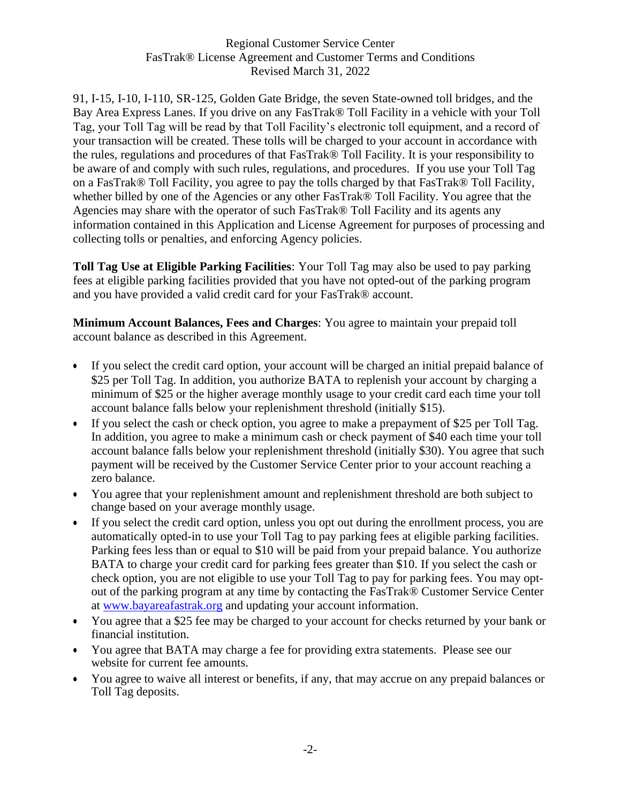91, I-15, I-10, I-110, SR-125, Golden Gate Bridge, the seven State-owned toll bridges, and the Bay Area Express Lanes. If you drive on any FasTrak® Toll Facility in a vehicle with your Toll Tag, your Toll Tag will be read by that Toll Facility's electronic toll equipment, and a record of your transaction will be created. These tolls will be charged to your account in accordance with the rules, regulations and procedures of that FasTrak® Toll Facility. It is your responsibility to be aware of and comply with such rules, regulations, and procedures. If you use your Toll Tag on a FasTrak® Toll Facility, you agree to pay the tolls charged by that FasTrak® Toll Facility, whether billed by one of the Agencies or any other FasTrak® Toll Facility. You agree that the Agencies may share with the operator of such FasTrak® Toll Facility and its agents any information contained in this Application and License Agreement for purposes of processing and collecting tolls or penalties, and enforcing Agency policies.

**Toll Tag Use at Eligible Parking Facilities**: Your Toll Tag may also be used to pay parking fees at eligible parking facilities provided that you have not opted-out of the parking program and you have provided a valid credit card for your FasTrak® account.

**Minimum Account Balances, Fees and Charges**: You agree to maintain your prepaid toll account balance as described in this Agreement.

- If you select the credit card option, your account will be charged an initial prepaid balance of \$25 per Toll Tag. In addition, you authorize BATA to replenish your account by charging a minimum of \$25 or the higher average monthly usage to your credit card each time your toll account balance falls below your replenishment threshold (initially \$15).
- If you select the cash or check option, you agree to make a prepayment of \$25 per Toll Tag. In addition, you agree to make a minimum cash or check payment of \$40 each time your toll account balance falls below your replenishment threshold (initially \$30). You agree that such payment will be received by the Customer Service Center prior to your account reaching a zero balance.
- You agree that your replenishment amount and replenishment threshold are both subject to change based on your average monthly usage.
- If you select the credit card option, unless you opt out during the enrollment process, you are automatically opted-in to use your Toll Tag to pay parking fees at eligible parking facilities. Parking fees less than or equal to \$10 will be paid from your prepaid balance. You authorize BATA to charge your credit card for parking fees greater than \$10. If you select the cash or check option, you are not eligible to use your Toll Tag to pay for parking fees. You may optout of the parking program at any time by contacting the FasTrak® Customer Service Center at [www.bayareafastrak.org](http://www.bayareafastrak.org/) and updating your account information.
- You agree that a \$25 fee may be charged to your account for checks returned by your bank or financial institution.
- You agree that BATA may charge a fee for providing extra statements. Please see our website for current fee amounts.
- You agree to waive all interest or benefits, if any, that may accrue on any prepaid balances or Toll Tag deposits.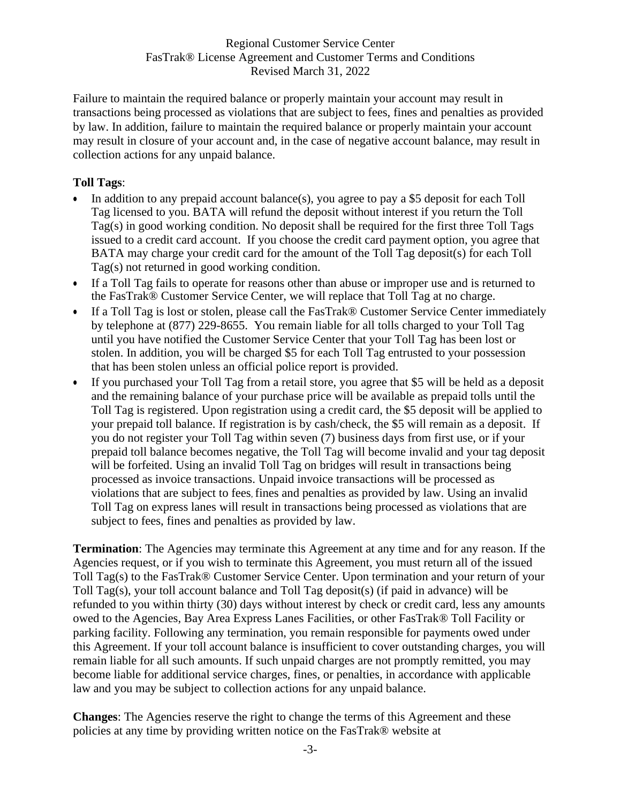Failure to maintain the required balance or properly maintain your account may result in transactions being processed as violations that are subject to fees, fines and penalties as provided by law. In addition, failure to maintain the required balance or properly maintain your account may result in closure of your account and, in the case of negative account balance, may result in collection actions for any unpaid balance.

# **Toll Tags**:

- In addition to any prepaid account balance(s), you agree to pay a \$5 deposit for each Toll Tag licensed to you. BATA will refund the deposit without interest if you return the Toll Tag(s) in good working condition. No deposit shall be required for the first three Toll Tags issued to a credit card account. If you choose the credit card payment option, you agree that BATA may charge your credit card for the amount of the Toll Tag deposit(s) for each Toll Tag(s) not returned in good working condition.
- If a Toll Tag fails to operate for reasons other than abuse or improper use and is returned to the FasTrak® Customer Service Center, we will replace that Toll Tag at no charge.
- If a Toll Tag is lost or stolen, please call the FasTrak® Customer Service Center immediately by telephone at (877) 229-8655. You remain liable for all tolls charged to your Toll Tag until you have notified the Customer Service Center that your Toll Tag has been lost or stolen. In addition, you will be charged \$5 for each Toll Tag entrusted to your possession that has been stolen unless an official police report is provided.
- If you purchased your Toll Tag from a retail store, you agree that \$5 will be held as a deposit and the remaining balance of your purchase price will be available as prepaid tolls until the Toll Tag is registered. Upon registration using a credit card, the \$5 deposit will be applied to your prepaid toll balance. If registration is by cash/check, the \$5 will remain as a deposit. If you do not register your Toll Tag within seven (7) business days from first use, or if your prepaid toll balance becomes negative, the Toll Tag will become invalid and your tag deposit will be forfeited. Using an invalid Toll Tag on bridges will result in transactions being processed as invoice transactions. Unpaid invoice transactions will be processed as violations that are subject to fees, fines and penalties as provided by law. Using an invalid Toll Tag on express lanes will result in transactions being processed as violations that are subject to fees, fines and penalties as provided by law.

**Termination**: The Agencies may terminate this Agreement at any time and for any reason. If the Agencies request, or if you wish to terminate this Agreement, you must return all of the issued Toll Tag(s) to the FasTrak® Customer Service Center. Upon termination and your return of your Toll Tag(s), your toll account balance and Toll Tag deposit(s) (if paid in advance) will be refunded to you within thirty (30) days without interest by check or credit card, less any amounts owed to the Agencies, Bay Area Express Lanes Facilities, or other FasTrak® Toll Facility or parking facility. Following any termination, you remain responsible for payments owed under this Agreement. If your toll account balance is insufficient to cover outstanding charges, you will remain liable for all such amounts. If such unpaid charges are not promptly remitted, you may become liable for additional service charges, fines, or penalties, in accordance with applicable law and you may be subject to collection actions for any unpaid balance.

**Changes**: The Agencies reserve the right to change the terms of this Agreement and these policies at any time by providing written notice on the FasTrak® website at